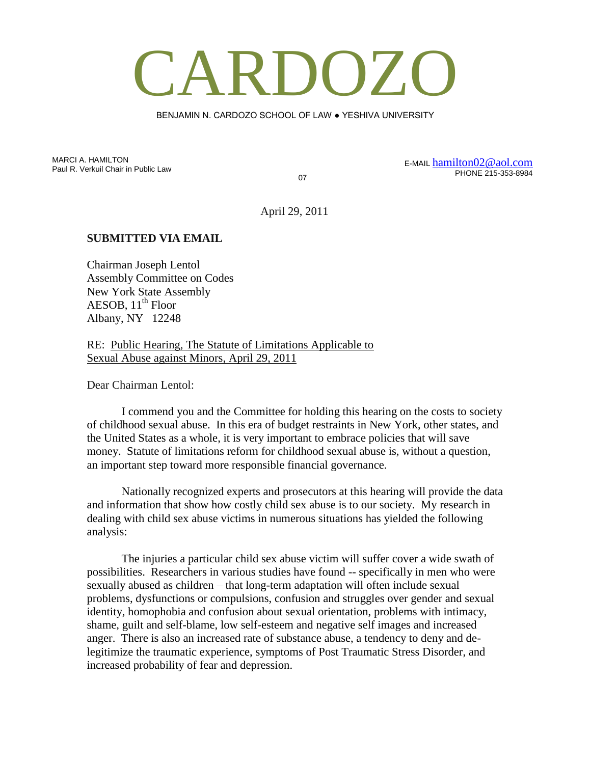## CARDOZO

BENJAMIN N. CARDOZO SCHOOL OF LAW ● YESHIVA UNIVERSITY

MARCI A. HAMILTON Paul R. Verkuil Chair in Public Law

07

E-MAIL [hamilton02@aol.com](mailto:hamilton02@aol.com) PHONE 215-353-8984

April 29, 2011

## **SUBMITTED VIA EMAIL**

Chairman Joseph Lentol Assembly Committee on Codes New York State Assembly AESOB,  $11<sup>th</sup>$  Floor Albany, NY 12248

RE: Public Hearing, The Statute of Limitations Applicable to Sexual Abuse against Minors, April 29, 2011

Dear Chairman Lentol:

I commend you and the Committee for holding this hearing on the costs to society of childhood sexual abuse. In this era of budget restraints in New York, other states, and the United States as a whole, it is very important to embrace policies that will save money. Statute of limitations reform for childhood sexual abuse is, without a question, an important step toward more responsible financial governance.

Nationally recognized experts and prosecutors at this hearing will provide the data and information that show how costly child sex abuse is to our society. My research in dealing with child sex abuse victims in numerous situations has yielded the following analysis:

The injuries a particular child sex abuse victim will suffer cover a wide swath of possibilities. Researchers in various studies have found -- specifically in men who were sexually abused as children – that long-term adaptation will often include sexual problems, dysfunctions or compulsions, confusion and struggles over gender and sexual identity, homophobia and confusion about sexual orientation, problems with intimacy, shame, guilt and self-blame, low self-esteem and negative self images and increased anger. There is also an increased rate of substance abuse, a tendency to deny and delegitimize the traumatic experience, symptoms of Post Traumatic Stress Disorder, and increased probability of fear and depression.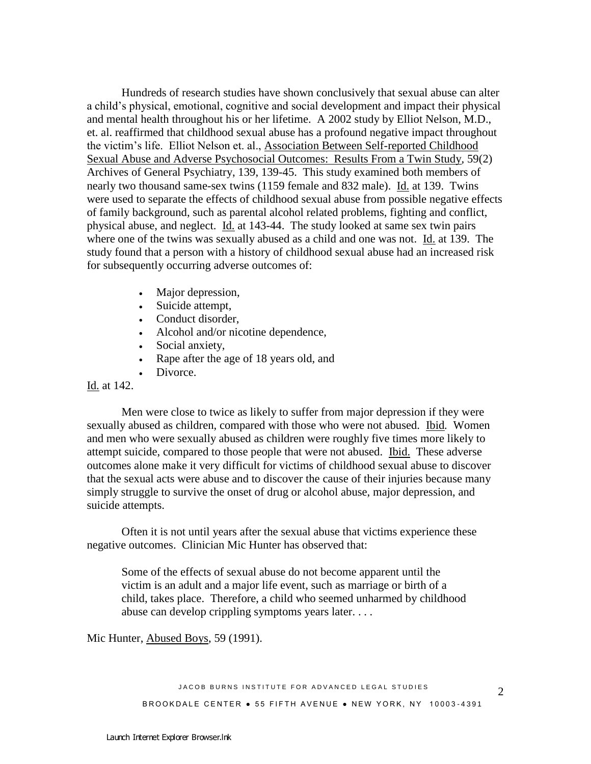Hundreds of research studies have shown conclusively that sexual abuse can alter a child's physical, emotional, cognitive and social development and impact their physical and mental health throughout his or her lifetime. A 2002 study by Elliot Nelson, M.D., et. al. reaffirmed that childhood sexual abuse has a profound negative impact throughout the victim's life. Elliot Nelson et. al., Association Between Self-reported Childhood Sexual Abuse and Adverse Psychosocial Outcomes: Results From a Twin Study*,* 59(2) Archives of General Psychiatry, 139, 139-45. This study examined both members of nearly two thousand same-sex twins (1159 female and 832 male). Id. at 139. Twins were used to separate the effects of childhood sexual abuse from possible negative effects of family background, such as parental alcohol related problems, fighting and conflict, physical abuse, and neglect. Id. at 143-44. The study looked at same sex twin pairs where one of the twins was sexually abused as a child and one was not. Id. at 139. The study found that a person with a history of childhood sexual abuse had an increased risk for subsequently occurring adverse outcomes of:

- Major depression,
- Suicide attempt,
- Conduct disorder,
- Alcohol and/or nicotine dependence,
- Social anxiety,
- Rape after the age of 18 years old, and
- Divorce.

## Id. at 142.

Men were close to twice as likely to suffer from major depression if they were sexually abused as children, compared with those who were not abused. Ibid*.* Women and men who were sexually abused as children were roughly five times more likely to attempt suicide, compared to those people that were not abused. Ibid. These adverse outcomes alone make it very difficult for victims of childhood sexual abuse to discover that the sexual acts were abuse and to discover the cause of their injuries because many simply struggle to survive the onset of drug or alcohol abuse, major depression, and suicide attempts.

Often it is not until years after the sexual abuse that victims experience these negative outcomes. Clinician Mic Hunter has observed that:

Some of the effects of sexual abuse do not become apparent until the victim is an adult and a major life event, such as marriage or birth of a child, takes place. Therefore, a child who seemed unharmed by childhood abuse can develop crippling symptoms years later. . . .

Mic Hunter, Abused Boys, 59 (1991).

JACOB BURNS INSTITUTE FOR ADVANCED LEGAL STUDIES BROOKDALE CENTER . 55 FIFTH AVENUE . NEW YORK, NY 10003-4391

2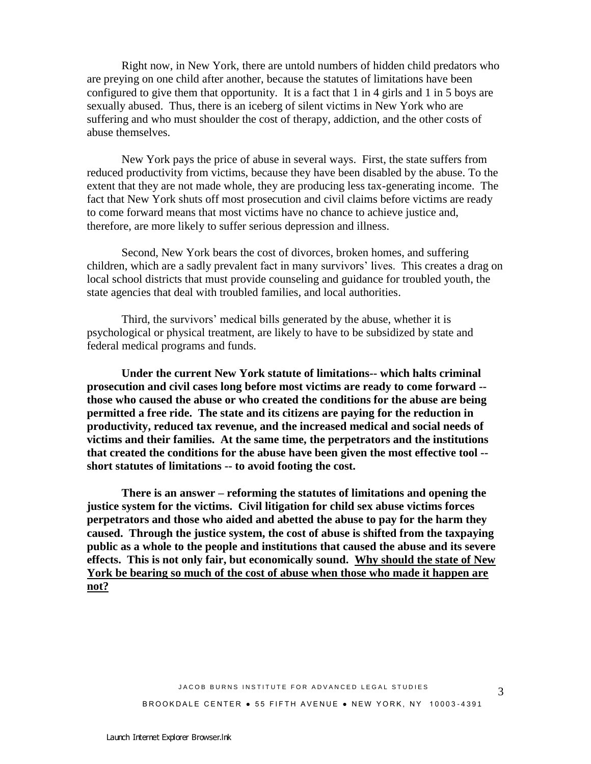Right now, in New York, there are untold numbers of hidden child predators who are preying on one child after another, because the statutes of limitations have been configured to give them that opportunity. It is a fact that 1 in 4 girls and 1 in 5 boys are sexually abused. Thus, there is an iceberg of silent victims in New York who are suffering and who must shoulder the cost of therapy, addiction, and the other costs of abuse themselves.

New York pays the price of abuse in several ways. First, the state suffers from reduced productivity from victims, because they have been disabled by the abuse. To the extent that they are not made whole, they are producing less tax-generating income. The fact that New York shuts off most prosecution and civil claims before victims are ready to come forward means that most victims have no chance to achieve justice and, therefore, are more likely to suffer serious depression and illness.

Second, New York bears the cost of divorces, broken homes, and suffering children, which are a sadly prevalent fact in many survivors' lives. This creates a drag on local school districts that must provide counseling and guidance for troubled youth, the state agencies that deal with troubled families, and local authorities.

Third, the survivors' medical bills generated by the abuse, whether it is psychological or physical treatment, are likely to have to be subsidized by state and federal medical programs and funds.

**Under the current New York statute of limitations-- which halts criminal prosecution and civil cases long before most victims are ready to come forward - those who caused the abuse or who created the conditions for the abuse are being permitted a free ride. The state and its citizens are paying for the reduction in productivity, reduced tax revenue, and the increased medical and social needs of victims and their families. At the same time, the perpetrators and the institutions that created the conditions for the abuse have been given the most effective tool - short statutes of limitations -- to avoid footing the cost.**

**There is an answer – reforming the statutes of limitations and opening the justice system for the victims. Civil litigation for child sex abuse victims forces perpetrators and those who aided and abetted the abuse to pay for the harm they caused. Through the justice system, the cost of abuse is shifted from the taxpaying public as a whole to the people and institutions that caused the abuse and its severe effects. This is not only fair, but economically sound. Why should the state of New York be bearing so much of the cost of abuse when those who made it happen are not?**

3